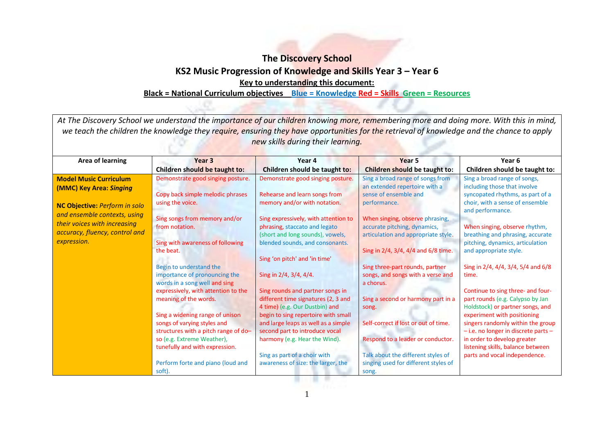## **The Discovery School KS2 Music Progression of Knowledge and Skills Year 3 – Year 6 Key to understanding this document:**

## **Black = National Curriculum objectives Blue = Knowledge Red = Skills Green = Resources**

| At The Discovery School we understand the importance of our children knowing more, remembering more and doing more. With this in mind,<br>we teach the children the knowledge they require, ensuring they have opportunities for the retrieval of knowledge and the chance to apply<br>new skills during their learning. |                                                                                                   |                                                                                                                                                                               |                                                                                                                                               |                                                                                                                                                         |  |
|--------------------------------------------------------------------------------------------------------------------------------------------------------------------------------------------------------------------------------------------------------------------------------------------------------------------------|---------------------------------------------------------------------------------------------------|-------------------------------------------------------------------------------------------------------------------------------------------------------------------------------|-----------------------------------------------------------------------------------------------------------------------------------------------|---------------------------------------------------------------------------------------------------------------------------------------------------------|--|
| <b>Area of learning</b>                                                                                                                                                                                                                                                                                                  | Year <sub>3</sub><br>Children should be taught to:                                                | Year 4<br>Children should be taught to:                                                                                                                                       | Year <sub>5</sub><br><b>Children should be taught to:</b>                                                                                     | Year <sub>6</sub><br>Children should be taught to:                                                                                                      |  |
| <b>Model Music Curriculum</b><br>(MMC) Key Area: Singing<br>NC Objective: Perform in solo                                                                                                                                                                                                                                | Demonstrate good singing posture.<br>Copy back simple melodic phrases<br>using the voice.         | Demonstrate good singing posture.<br>Rehearse and learn songs from<br>memory and/or with notation.                                                                            | Sing a broad range of songs from<br>an extended repertoire with a<br>sense of ensemble and<br>performance.                                    | Sing a broad range of songs,<br>including those that involve<br>syncopated rhythms, as part of a<br>choir, with a sense of ensemble<br>and performance. |  |
| and ensemble contexts, using<br>their voices with increasing<br>accuracy, fluency, control and<br>expression.                                                                                                                                                                                                            | Sing songs from memory and/or<br>from notation.<br>Sing with awareness of following<br>the beat.  | Sing expressively, with attention to<br>phrasing, staccato and legato<br>(short and long sounds), vowels,<br>blended sounds, and consonants.<br>Sing 'on pitch' and 'in time' | When singing, observe phrasing,<br>accurate pitching, dynamics,<br>articulation and appropriate style.<br>Sing in 2/4, 3/4, 4/4 and 6/8 time. | When singing, observe rhythm,<br>breathing and phrasing, accurate<br>pitching, dynamics, articulation<br>and appropriate style.                         |  |
|                                                                                                                                                                                                                                                                                                                          | Begin to understand the<br>importance of pronouncing the<br>words in a song well and sing         | Sing in 2/4, 3/4, 4/4.                                                                                                                                                        | Sing three-part rounds, partner<br>songs, and songs with a verse and<br>a chorus.                                                             | Sing in 2/4, 4/4, 3/4, 5/4 and 6/8<br>time.                                                                                                             |  |
|                                                                                                                                                                                                                                                                                                                          | expressively, with attention to the<br>meaning of the words.<br>Sing a widening range of unison   | Sing rounds and partner songs in<br>different time signatures (2, 3 and<br>4 time) (e.g. Our Dustbin) and<br>begin to sing repertoire with small                              | Sing a second or harmony part in a<br>song.                                                                                                   | Continue to sing three- and four-<br>part rounds (e.g. Calypso by Jan<br>Holdstock) or partner songs, and<br>experiment with positioning                |  |
|                                                                                                                                                                                                                                                                                                                          | songs of varying styles and<br>structures with a pitch range of do-<br>so (e.g. Extreme Weather), | and large leaps as well as a simple<br>second part to introduce vocal<br>harmony (e.g. Hear the Wind).                                                                        | Self-correct if lost or out of time.<br>Respond to a leader or conductor.                                                                     | singers randomly within the group<br>$-$ i.e. no longer in discrete parts $-$<br>in order to develop greater                                            |  |
|                                                                                                                                                                                                                                                                                                                          | tunefully and with expression.<br>Perform forte and piano (loud and<br>soft).                     | Sing as part of a choir with<br>awareness of size: the larger, the                                                                                                            | Talk about the different styles of<br>singing used for different styles of<br>song.                                                           | listening skills, balance between<br>parts and vocal independence.                                                                                      |  |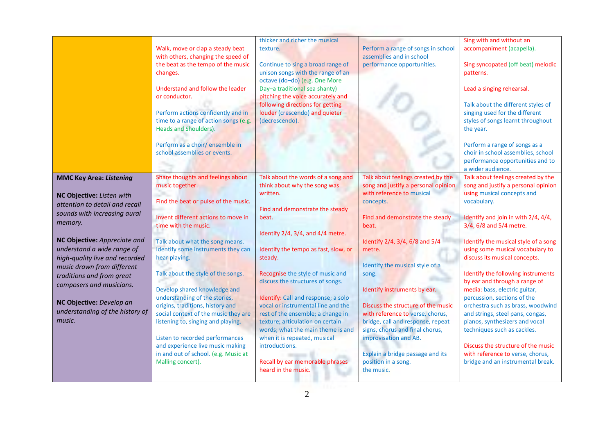|                                 |                                       | thicker and richer the musical       |                                     | Sing with and without an             |
|---------------------------------|---------------------------------------|--------------------------------------|-------------------------------------|--------------------------------------|
|                                 | Walk, move or clap a steady beat      | texture.                             | Perform a range of songs in school  | accompaniment (acapella).            |
|                                 | with others, changing the speed of    |                                      | assemblies and in school            |                                      |
|                                 | the beat as the tempo of the music    | Continue to sing a broad range of    | performance opportunities.          | Sing syncopated (off beat) melodic   |
|                                 | changes.                              | unison songs with the range of an    |                                     | patterns.                            |
|                                 |                                       | octave (do-do) (e.g. One More        |                                     |                                      |
|                                 | Understand and follow the leader      | Day-a traditional sea shanty)        |                                     | Lead a singing rehearsal.            |
|                                 | or conductor.                         | pitching the voice accurately and    |                                     |                                      |
|                                 |                                       | following directions for getting     |                                     | Talk about the different styles of   |
|                                 | Perform actions confidently and in    | louder (crescendo) and quieter       |                                     | singing used for the different       |
|                                 | time to a range of action songs (e.g. | (decrescendo).                       |                                     | styles of songs learnt throughout    |
|                                 | Heads and Shoulders).                 |                                      |                                     | the year.                            |
|                                 |                                       |                                      |                                     |                                      |
|                                 | Perform as a choir/ ensemble in       |                                      |                                     | Perform a range of songs as a        |
|                                 | school assemblies or events.          |                                      |                                     | choir in school assemblies, school   |
|                                 |                                       |                                      |                                     | performance opportunities and to     |
|                                 |                                       |                                      |                                     | a wider audience.                    |
| <b>MMC Key Area: Listening</b>  | Share thoughts and feelings about     | Talk about the words of a song and   | Talk about feelings created by the  | Talk about feelings created by the   |
|                                 | music together.                       | think about why the song was         | song and justify a personal opinion | song and justify a personal opinion  |
| NC Objective: Listen with       |                                       | written.                             | with reference to musical           | using musical concepts and           |
|                                 | Find the beat or pulse of the music.  |                                      | concepts.                           | vocabulary.                          |
| attention to detail and recall  |                                       | Find and demonstrate the steady      |                                     |                                      |
| sounds with increasing aural    | Invent different actions to move in   | beat.                                | Find and demonstrate the steady     | Identify and join in with 2/4, 4/4,  |
| memory.                         | time with the music.                  |                                      | beat.                               | 3/4, 6/8 and 5/4 metre.              |
|                                 |                                       | Identify 2/4, 3/4, and 4/4 metre.    |                                     |                                      |
| NC Objective: Appreciate and    | Talk about what the song means.       |                                      | Identify 2/4, 3/4, 6/8 and 5/4      | Identify the musical style of a song |
| understand a wide range of      | Identify some instruments they can    | Identify the tempo as fast, slow, or | metre.                              | using some musical vocabulary to     |
| high-quality live and recorded  | hear playing.                         | steady.                              |                                     | discuss its musical concepts.        |
| music drawn from different      |                                       |                                      | Identify the musical style of a     |                                      |
| traditions and from great       | Talk about the style of the songs.    | Recognise the style of music and     | song.                               | Identify the following instruments   |
| composers and musicians.        |                                       | discuss the structures of songs.     |                                     | by ear and through a range of        |
|                                 | Develop shared knowledge and          |                                      | Identify instruments by ear.        | media: bass, electric guitar,        |
|                                 | understanding of the stories,         | Identify: Call and response; a solo  |                                     | percussion, sections of the          |
| NC Objective: Develop an        | origins, traditions, history and      | vocal or instrumental line and the   | Discuss the structure of the music  | orchestra such as brass, woodwind    |
| understanding of the history of | social context of the music they are  | rest of the ensemble; a change in    | with reference to verse, chorus,    | and strings, steel pans, congas,     |
| music.                          | listening to, singing and playing.    | texture; articulation on certain     | bridge, call and response, repeat   | pianos, synthesizers and vocal       |
|                                 |                                       | words; what the main theme is and    | signs, chorus and final chorus,     | techniques such as cackles.          |
|                                 | Listen to recorded performances       | when it is repeated, musical         | improvisation and AB.               |                                      |
|                                 | and experience live music making      | introductions.                       |                                     | Discuss the structure of the music   |
|                                 | in and out of school. (e.g. Music at  |                                      | Explain a bridge passage and its    | with reference to verse, chorus,     |
|                                 | Malling concert).                     | Recall by ear memorable phrases      | position in a song.                 | bridge and an instrumental break.    |
|                                 |                                       | heard in the music.                  | the music.                          |                                      |
|                                 |                                       |                                      |                                     |                                      |
|                                 |                                       |                                      |                                     |                                      |
|                                 |                                       | $\overline{2}$                       |                                     |                                      |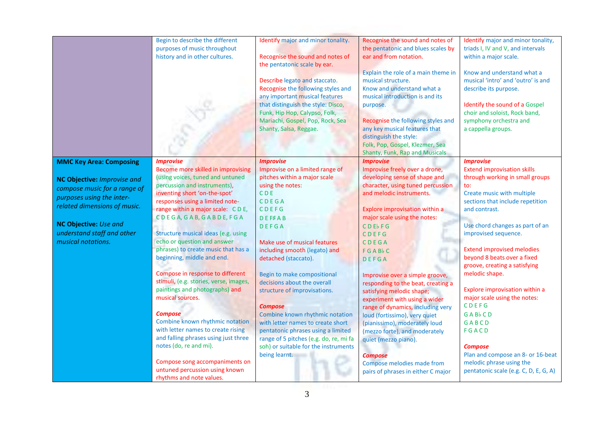|                                                                                                                                                                                                                                         | Begin to describe the different<br>purposes of music throughout<br>history and in other cultures.                                                                                                                                                                                                                                                                                                                                                                                                                                                                                                                                                                                                                                                                                                               | Identify major and minor tonality.<br>Recognise the sound and notes of<br>the pentatonic scale by ear.<br>Describe legato and staccato.<br>Recognise the following styles and<br>any important musical features<br>that distinguish the style: Disco,<br>Funk, Hip Hop, Calypso, Folk,<br>Mariachi, Gospel, Pop, Rock, Sea<br>Shanty, Salsa, Reggae.                                                                                                                                                                                                                                        | Recognise the sound and notes of<br>the pentatonic and blues scales by<br>ear and from notation.<br>Explain the role of a main theme in<br>musical structure.<br>Know and understand what a<br>musical introduction is and its<br>purpose.<br>Recognise the following styles and<br>any key musical features that<br>distinguish the style:<br>Folk, Pop, Gospel, Klezmer, Sea<br>Shanty, Funk, Rap and Musicals                                                                                                                                                                                                                                                          | Identify major and minor tonality,<br>triads I, IV and V, and intervals<br>within a major scale.<br>Know and understand what a<br>musical 'intro' and 'outro' is and<br>describe its purpose.<br>Identify the sound of a Gospel<br>choir and soloist, Rock band,<br>symphony orchestra and<br>a cappella groups.                                                                                                                                                                                                                                                                                                |
|-----------------------------------------------------------------------------------------------------------------------------------------------------------------------------------------------------------------------------------------|-----------------------------------------------------------------------------------------------------------------------------------------------------------------------------------------------------------------------------------------------------------------------------------------------------------------------------------------------------------------------------------------------------------------------------------------------------------------------------------------------------------------------------------------------------------------------------------------------------------------------------------------------------------------------------------------------------------------------------------------------------------------------------------------------------------------|---------------------------------------------------------------------------------------------------------------------------------------------------------------------------------------------------------------------------------------------------------------------------------------------------------------------------------------------------------------------------------------------------------------------------------------------------------------------------------------------------------------------------------------------------------------------------------------------|---------------------------------------------------------------------------------------------------------------------------------------------------------------------------------------------------------------------------------------------------------------------------------------------------------------------------------------------------------------------------------------------------------------------------------------------------------------------------------------------------------------------------------------------------------------------------------------------------------------------------------------------------------------------------|-----------------------------------------------------------------------------------------------------------------------------------------------------------------------------------------------------------------------------------------------------------------------------------------------------------------------------------------------------------------------------------------------------------------------------------------------------------------------------------------------------------------------------------------------------------------------------------------------------------------|
| <b>MMC Key Area: Composing</b><br>NC Objective: Improvise and<br>compose music for a range of<br>purposes using the inter-<br>related dimensions of music.<br>NC Objective: Use and<br>understand staff and other<br>musical notations. | <i><b>Improvise</b></i><br>Become more skilled in improvising<br>(using voices, tuned and untuned<br>percussion and instruments),<br>inventing short 'on-the-spot'<br>responses using a limited note-<br>range within a major scale: CDE,<br>CDEGA, GAB, GABDE, FGA<br>Structure musical ideas (e.g. using<br>echo or question and answer<br>phrases) to create music that has a<br>beginning, middle and end.<br>Compose in response to different<br>stimuli, (e.g. stories, verse, images,<br>paintings and photographs) and<br>musical sources.<br><b>Compose</b><br>Combine known rhythmic notation<br>with letter names to create rising<br>and falling phrases using just three<br>notes (do, re and mi).<br>Compose song accompaniments on<br>untuned percussion using known<br>rhythms and note values. | <b>Improvise</b><br>Improvise on a limited range of<br>pitches within a major scale<br>using the notes:<br><b>CDE</b><br>CDEGA<br>CDEFG<br>DEF#AB<br><b>DEFGA</b><br>Make use of musical features<br>including smooth (legato) and<br>detached (staccato).<br>Begin to make compositional<br>decisions about the overall<br>structure of improvisations.<br><b>Compose</b><br>Combine known rhythmic notation<br>with letter names to create short<br>pentatonic phrases using a limited<br>range of 5 pitches (e.g. do, re, mi fa<br>soh) or suitable for the instruments<br>being learnt. | <b>Improvise</b><br>Improvise freely over a drone,<br>developing sense of shape and<br>character, using tuned percussion<br>and melodic instruments.<br>Explore improvisation within a<br>major scale using the notes:<br>CDEbFG<br>CDEFG<br>CDEGA<br>FGABbC<br><b>DEFGA</b><br>Improvise over a simple groove,<br>responding to the beat, creating a<br>satisfying melodic shape;<br>experiment with using a wider<br>range of dynamics, including very<br>loud (fortissimo), very quiet<br>(pianissimo), moderately loud<br>(mezzo forte), and moderately<br>quiet (mezzo piano).<br><b>Compose</b><br>Compose melodies made from<br>pairs of phrases in either C major | <b>Improvise</b><br><b>Extend improvisation skills</b><br>through working in small groups<br>to:<br>Create music with multiple<br>sections that include repetition<br>and contrast.<br>Use chord changes as part of an<br>improvised sequence.<br><b>Extend improvised melodies</b><br>beyond 8 beats over a fixed<br>groove, creating a satisfying<br>melodic shape.<br>Explore improvisation within a<br>major scale using the notes:<br>CDEFG<br><b>GABbCD</b><br>GABCD<br>FGACD<br><b>Compose</b><br>Plan and compose an 8- or 16-beat<br>melodic phrase using the<br>pentatonic scale (e.g. C, D, E, G, A) |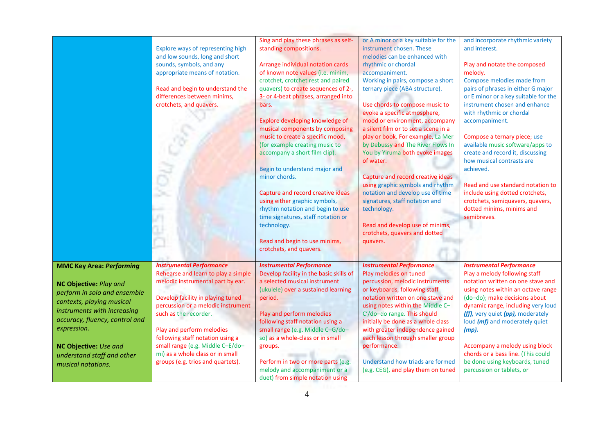|                                                                                                                                                                                                                                                         | Explore ways of representing high<br>and low sounds, long and short<br>sounds, symbols, and any<br>appropriate means of notation.<br>Read and begin to understand the<br>differences between minims,<br>crotchets, and quavers.                                                                                                                            | Sing and play these phrases as self-<br>standing compositions.<br>Arrange individual notation cards<br>of known note values (i.e. minim,<br>crotchet, crotchet rest and paired<br>quavers) to create sequences of 2-,<br>3- or 4-beat phrases, arranged into<br>bars.<br>Explore developing knowledge of<br>musical components by composing<br>music to create a specific mood,<br>(for example creating music to<br>accompany a short film clip).<br>Begin to understand major and<br>minor chords.<br>Capture and record creative ideas<br>using either graphic symbols,<br>rhythm notation and begin to use<br>time signatures, staff notation or<br>technology.<br>Read and begin to use minims,<br>crotchets, and quavers. | or A minor or a key suitable for the<br>instrument chosen. These<br>melodies can be enhanced with<br>rhythmic or chordal<br>accompaniment.<br>Working in pairs, compose a short<br>ternary piece (ABA structure).<br>Use chords to compose music to<br>evoke a specific atmosphere,<br>mood or environment, accompany<br>a silent film or to set a scene in a<br>play or book. For example, La Mer<br>by Debussy and The River Flows In<br>You by Yiruma both evoke images<br>of water.<br>Capture and record creative ideas<br>using graphic symbols and rhythm<br>notation and develop use of time<br>signatures, staff notation and<br>technology.<br>Read and develop use of minims,<br>crotchets, quavers and dotted<br>quavers. | and incorporate rhythmic variety<br>and interest.<br>Play and notate the composed<br>melody.<br>Compose melodies made from<br>pairs of phrases in either G major<br>or E minor or a key suitable for the<br>instrument chosen and enhance<br>with rhythmic or chordal<br>accompaniment.<br>Compose a ternary piece; use<br>available music software/apps to<br>create and record it, discussing<br>how musical contrasts are<br>achieved.<br>Read and use standard notation to<br>include using dotted crotchets,<br>crotchets, semiquavers, quavers,<br>dotted minims, minims and<br>semibreves. |
|---------------------------------------------------------------------------------------------------------------------------------------------------------------------------------------------------------------------------------------------------------|------------------------------------------------------------------------------------------------------------------------------------------------------------------------------------------------------------------------------------------------------------------------------------------------------------------------------------------------------------|---------------------------------------------------------------------------------------------------------------------------------------------------------------------------------------------------------------------------------------------------------------------------------------------------------------------------------------------------------------------------------------------------------------------------------------------------------------------------------------------------------------------------------------------------------------------------------------------------------------------------------------------------------------------------------------------------------------------------------|---------------------------------------------------------------------------------------------------------------------------------------------------------------------------------------------------------------------------------------------------------------------------------------------------------------------------------------------------------------------------------------------------------------------------------------------------------------------------------------------------------------------------------------------------------------------------------------------------------------------------------------------------------------------------------------------------------------------------------------|---------------------------------------------------------------------------------------------------------------------------------------------------------------------------------------------------------------------------------------------------------------------------------------------------------------------------------------------------------------------------------------------------------------------------------------------------------------------------------------------------------------------------------------------------------------------------------------------------|
| <b>MMC Key Area: Performing</b>                                                                                                                                                                                                                         | <b>Instrumental Performance</b>                                                                                                                                                                                                                                                                                                                            | <b>Instrumental Performance</b>                                                                                                                                                                                                                                                                                                                                                                                                                                                                                                                                                                                                                                                                                                 | <b>Instrumental Performance</b>                                                                                                                                                                                                                                                                                                                                                                                                                                                                                                                                                                                                                                                                                                       | <b>Instrumental Performance</b>                                                                                                                                                                                                                                                                                                                                                                                                                                                                                                                                                                   |
| NC Objective: Play and<br>perform in solo and ensemble<br>contexts, playing musical<br>instruments with increasing<br>accuracy, fluency, control and<br>expression.<br><b>NC Objective: Use and</b><br>understand staff and other<br>musical notations. | Rehearse and learn to play a simple<br>melodic instrumental part by ear.<br>Develop facility in playing tuned<br>percussion or a melodic instrument<br>such as the recorder.<br>Play and perform melodies<br>following staff notation using a<br>small range (e.g. Middle C-E/do-<br>mi) as a whole class or in small<br>groups (e.g. trios and quartets). | Develop facility in the basic skills of<br>a selected musical instrument<br>(ukulele) over a sustained learning<br>period.<br>Play and perform melodies<br>following staff notation using a<br>small range (e.g. Middle C-G/do-<br>so) as a whole-class or in small<br>groups.<br>Perform in two or more parts (e.g.<br>melody and accompaniment or a<br>duet) from simple notation using                                                                                                                                                                                                                                                                                                                                       | Play melodies on tuned<br>percussion, melodic instruments<br>or keyboards, following staff<br>notation written on one stave and<br>using notes within the Middle C-<br>C'/do-do range. This should<br>initially be done as a whole class<br>with greater independence gained<br>each lesson through smaller group<br>performance.<br>Understand how triads are formed<br>(e.g. CEG), and play them on tuned                                                                                                                                                                                                                                                                                                                           | Play a melody following staff<br>notation written on one stave and<br>using notes within an octave range<br>(do-do); make decisions about<br>dynamic range, including very loud<br>(ff), very quiet (pp), moderately<br>loud (mf) and moderately quiet<br>$(mp)$ .<br>Accompany a melody using block<br>chords or a bass line. (This could<br>be done using keyboards, tuned<br>percussion or tablets, or                                                                                                                                                                                         |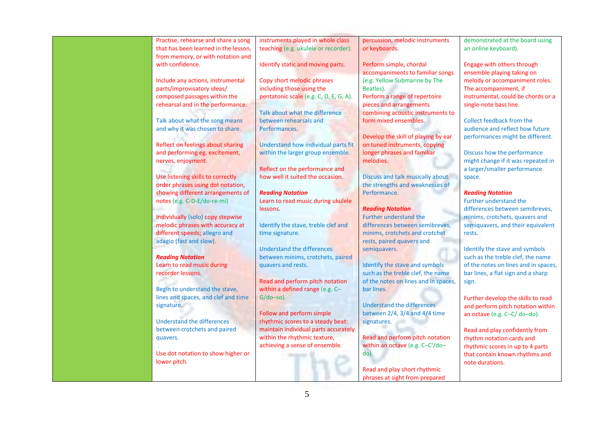|                  | Practise, rehearse and share a song  | instruments played in whole class                                  | percussion, melodic instruments                                   | demonstrated at the board using                              |
|------------------|--------------------------------------|--------------------------------------------------------------------|-------------------------------------------------------------------|--------------------------------------------------------------|
|                  | that has been learned in the lesson, | teaching (e.g. ukulele or recorder).                               | or keyboards.                                                     | an online keyboard).                                         |
|                  | from memory, or with notation and    |                                                                    |                                                                   |                                                              |
| with confidence. |                                      | Identify static and moving parts.                                  | Perform simple, chordal                                           | Engage with others through                                   |
|                  | Include any actions, instrumental    | Copy short melodic phrases                                         | accompaniments to familiar songs<br>(e.g. Yellow Submarine by The | ensemble playing taking on<br>melody or accompaniment roles. |
|                  | parts/improvisatory ideas/           | including those using the                                          | Beatles).                                                         | The accompaniment, if                                        |
|                  | composed passages within the         | pentatonic scale (e.g. C, D, E, G, A).                             | Perform a range of repertoire                                     | instrumental, could be chords or a                           |
|                  | rehearsal and in the performance.    |                                                                    | pieces and arrangements                                           | single-note bass line.                                       |
|                  |                                      | Talk about what the difference                                     | combining acoustic instruments to                                 |                                                              |
|                  | Talk about what the song means       | between rehearsals and                                             | form mixed ensembles.                                             | Collect feedback from the                                    |
|                  | and why it was chosen to share.      | Performances.                                                      |                                                                   | audience and reflect how future                              |
|                  |                                      |                                                                    | Develop the skill of playing by ear                               | performances might be different.                             |
|                  | Reflect on feelings about sharing    | Understand how individual parts fit                                | on tuned instruments, copying                                     |                                                              |
|                  | and performing eg. excitement,       | within the larger group ensemble.                                  | longer phrases and familiar                                       | Discuss how the performance                                  |
|                  | nerves, enjoyment.                   |                                                                    | melodies.                                                         | might change if it was repeated in                           |
|                  |                                      | Reflect on the performance and                                     |                                                                   | a larger/smaller performance                                 |
|                  | Use listening skills to correctly    | how well it suited the occasion.                                   | Discuss and talk musically about                                  | space.                                                       |
|                  | order phrases using dot notation,    |                                                                    | the strengths and weaknesses of                                   |                                                              |
|                  | showing different arrangements of    | <b>Reading Notation</b>                                            | Performance.                                                      | <b>Reading Notation</b>                                      |
|                  | notes (e.g. C-D-E/do-re-mi)          | Learn to read music during ukulele                                 |                                                                   | <b>Further understand the</b>                                |
|                  |                                      | lessons.                                                           | <b>Reading Notation</b>                                           | differences between semibreves,                              |
|                  | Individually (solo) copy stepwise    |                                                                    | <b>Further understand the</b>                                     | minims, crotchets, quavers and                               |
|                  | melodic phrases with accuracy at     | Identify the stave, treble clef and                                | differences between semibreves,                                   | semiquavers, and their equivalent                            |
|                  | different speeds; allegro and        | time signature.                                                    | minims, crotchets and crotchet                                    | rests.                                                       |
|                  | adagio (fast and slow).              |                                                                    | rests, paired quavers and                                         |                                                              |
|                  |                                      | <b>Understand the differences</b>                                  | semiquavers.                                                      | Identify the stave and symbols                               |
|                  | <b>Reading Notation</b>              | between minims, crotchets, paired                                  |                                                                   | such as the treble clef, the name                            |
|                  | Learn to read music during           | quavers and rests.                                                 | Identify the stave and symbols                                    | of the notes on lines and in spaces,                         |
|                  | recorder lessons.                    |                                                                    | such as the treble clef, the name                                 | bar lines, a flat sign and a sharp                           |
|                  | Begin to understand the stave,       | Read and perform pitch notation<br>within a defined range (e.g. C- | of the notes on lines and in spaces,<br>bar lines.                | sign.                                                        |
|                  | lines and spaces, and clef and time  | $G$ /do-so).                                                       |                                                                   | Further develop the skills to read                           |
| signature.       |                                      |                                                                    | <b>Understand the differences</b>                                 | and perform pitch notation within                            |
|                  |                                      | Follow and perform simple                                          | between $2/4$ , $3/4$ and $4/4$ time                              | an octave (e.g. C-C/do-do).                                  |
|                  | <b>Understand the differences</b>    | rhythmic scores to a steady beat:                                  | signatures.                                                       |                                                              |
|                  | between crotchets and paired         | maintain individual parts accurately                               |                                                                   | Read and play confidently from                               |
| quavers.         |                                      | within the rhythmic texture,                                       | Read and perform pitch notation                                   | rhythm notation cards and                                    |
|                  |                                      | achieving a sense of ensemble.                                     | within an octave (e.g. C-C'/do-                                   | rhythmic scores in up to 4 parts                             |
|                  | Use dot notation to show higher or   |                                                                    | $do$ ).                                                           | that contain known rhythms and                               |
| lower pitch.     |                                      |                                                                    |                                                                   | note durations.                                              |
|                  |                                      |                                                                    | Read and play short rhythmic                                      |                                                              |
|                  |                                      |                                                                    | phrases at sight from prepared                                    |                                                              |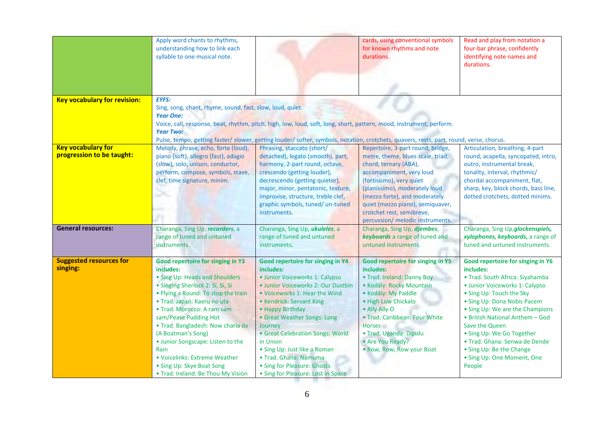|                                                        | Apply word chants to rhythms,<br>understanding how to link each<br>syllable to one musical note.                                                                                                                                                                                                                                                                                                                                                              |                                                                                                                                                                                                                                                                                                                                                                                                                                 | cards, using conventional symbols<br>for known rhythms and note<br>durations.                                                                                                                                                                                                                                                  | Read and play from notation a<br>four-bar phrase, confidently<br>identifying note names and<br>durations.                                                                                                                                                                                                                                                                                                |
|--------------------------------------------------------|---------------------------------------------------------------------------------------------------------------------------------------------------------------------------------------------------------------------------------------------------------------------------------------------------------------------------------------------------------------------------------------------------------------------------------------------------------------|---------------------------------------------------------------------------------------------------------------------------------------------------------------------------------------------------------------------------------------------------------------------------------------------------------------------------------------------------------------------------------------------------------------------------------|--------------------------------------------------------------------------------------------------------------------------------------------------------------------------------------------------------------------------------------------------------------------------------------------------------------------------------|----------------------------------------------------------------------------------------------------------------------------------------------------------------------------------------------------------------------------------------------------------------------------------------------------------------------------------------------------------------------------------------------------------|
| <b>Key vocabulary for revision:</b>                    | <b>EYFS:</b><br>Sing, song, chant, rhyme, sound, fast, slow, loud, quiet.<br><b>Year One:</b><br><b>Year Two:</b>                                                                                                                                                                                                                                                                                                                                             | Voice, call, response, beat, rhythm, pitch, high, low, loud, soft, long, short, pattern, mood, instrument, perform.<br>Pulse, tempo, getting faster/slower, getting louder/softer, symbols, notation, crotchets, quavers, rests, part, round, verse, chorus.                                                                                                                                                                    |                                                                                                                                                                                                                                                                                                                                |                                                                                                                                                                                                                                                                                                                                                                                                          |
| <b>Key vocabulary for</b><br>progression to be taught: | Melody, phrase, echo, forte (loud),<br>piano (soft), allegro (fast), adagio<br>(slow), solo, unison, conductor,<br>perform, compose, symbols, stave,<br>clef, time signature, minim.                                                                                                                                                                                                                                                                          | Phrasing, staccato (short/<br>detached), legato (smooth), part,<br>harmony, 2-part round, octave,<br>crescendo (getting louder),<br>decrescendo (getting quieter),<br>major, minor, pentatonic, texture,<br>improvise, structure, treble clef,<br>graphic symbols, tuned/ un-tuned<br>instruments.                                                                                                                              | Repertoire, 3-part round, bridge,<br>metre, theme, blues scale, triad,<br>chord, ternary (ABA),<br>accompaniment, very loud<br>(fortissimo), very quiet<br>(pianissimo), moderately loud<br>(mezzo forte), and moderately<br>quiet (mezzo piano), semiquaver,<br>crotchet rest, semibreve,<br>percussion/ melodic instruments. | Articulation, breathing, 4-part<br>round, acapella, syncopated, intro,<br>outro, instrumental break,<br>tonality, interval, rhythmic/<br>chordal accompaniment, flat,<br>sharp, key, block chords, bass line,<br>dotted crotchets, dotted minims.                                                                                                                                                        |
| <b>General resources:</b>                              | Charanga, Sing Up, recorders, a<br>range of tuned and untuned<br>instruments.                                                                                                                                                                                                                                                                                                                                                                                 | Charanga, Sing Up, ukuleles, a<br>range of tuned and untuned<br>instruments.                                                                                                                                                                                                                                                                                                                                                    | Charanga, Sing Up, djembes,<br>keyboards a range of tuned and<br>untuned instruments.                                                                                                                                                                                                                                          | Charanga, Sing Up, glockenspiels,<br>xylophones, keyboards, a range of<br>tuned and untuned instruments.                                                                                                                                                                                                                                                                                                 |
| <b>Suggested resources for</b><br>singing:             | Good repertoire for singing in Y3<br>includes:<br>• Sing Up: Heads and Shoulders<br>· Singing Sherlock 2: Si, Si, Si<br>• Flying a Round: To stop the train<br>· Trad. Japan: Kaeru no uta<br>• Trad. Morocco: A ram sam<br>sam/Pease Pudding Hot<br>· Trad. Bangladesh: Now charia de<br>(A Boatman's Song)<br>• Junior Songscape: Listen to the<br>Rain<br>• Voicelinks: Extreme Weather<br>• Sing Up: Skye Boat Song<br>• Trad. Ireland: Be Thou My Vision | Good repertoire for singing in Y4<br>includes:<br>· Junior Voiceworks 1: Calypso<br>· Junior Voiceworks 2: Our Dustbin<br>. Voiceworks 1: Hear the Wind<br>• Kendrick: Servant King<br>• Happy Birthday<br>• Great Weather Songs: Long<br>Journey<br>• Great Celebration Songs: World<br>in Union<br>• Sing Up: Just like a Roman<br>• Trad. Ghana: Namuma<br>• Sing for Pleasure: Ghosts<br>• Sing for Pleasure: Lost in Space | Good repertoire for singing in Y5<br>includes:<br>. Trad. Ireland: Danny Boy<br>• Kodály: Rocky Mountain<br>· Kodály: My Paddle<br>· High Low Chickalo<br>• Ally Ally O<br>· Trad. Caribbean: Four White<br><b>Horses</b><br>· Trad. Uganda: Dipidu<br>• Are You Ready?<br>. Row, Row, Row your Boat                           | Good repertoire for singing in Y6<br>includes:<br>• Trad. South Africa: Siyahamba<br>· Junior Voiceworks 1: Calypso<br>• Sing Up: Touch the Sky<br>• Sing Up: Dona Nobis Pacem<br>• Sing Up: We are the Champions<br>• British National Anthem - God<br>Save the Queen<br>. Sing Up: We Go Together<br>· Trad. Ghana: Senwa de Dende<br>• Sing Up: Be the Change<br>• Sing Up: One Moment, One<br>People |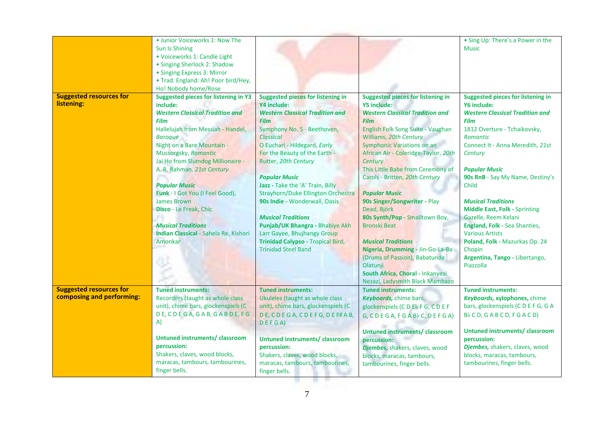|                                                             | Sun Is Shining<br>· Voiceworks 1: Candle Light<br>• Singing Sherlock 2: Shadow<br>• Singing Express 3: Mirror<br>• Trad. England: Ah! Poor bird/Hey,<br>Ho! Nobody home/Rose                                                                                                                                                                                                                                                                                                                 |                                                                                                                                                                                                                                                                                                                                                                                                                                                                                                                                                                   |                                                                                                                                                                                                                                                                                                                                                                                                                                                                                                                                                                                                                                                              | • Sing Up: There's a Power in the<br><b>Music</b>                                                                                                                                                                                                                                                                                                                                                                                                                                                                                                 |
|-------------------------------------------------------------|----------------------------------------------------------------------------------------------------------------------------------------------------------------------------------------------------------------------------------------------------------------------------------------------------------------------------------------------------------------------------------------------------------------------------------------------------------------------------------------------|-------------------------------------------------------------------------------------------------------------------------------------------------------------------------------------------------------------------------------------------------------------------------------------------------------------------------------------------------------------------------------------------------------------------------------------------------------------------------------------------------------------------------------------------------------------------|--------------------------------------------------------------------------------------------------------------------------------------------------------------------------------------------------------------------------------------------------------------------------------------------------------------------------------------------------------------------------------------------------------------------------------------------------------------------------------------------------------------------------------------------------------------------------------------------------------------------------------------------------------------|---------------------------------------------------------------------------------------------------------------------------------------------------------------------------------------------------------------------------------------------------------------------------------------------------------------------------------------------------------------------------------------------------------------------------------------------------------------------------------------------------------------------------------------------------|
| <b>Suggested resources for</b><br>listening:                | <b>Suggested pieces for listening in Y3</b><br>include:<br><b>Western Classical Tradition and</b><br><b>Film</b><br>Hallelujah from Messiah - Handel,<br><b>Baroque</b><br>Night on a Bare Mountain -<br>Mussorgsky, Romantic<br>Jai Ho from Slumdog Millionaire -<br>A. R. Rahman, 21st Century<br><b>Popular Music</b><br>Funk - I Got You (I Feel Good),<br><b>James Brown</b><br>Disco - Le Freak, Chic<br><b>Musical Traditions</b><br>Indian Classical - Sahela Re, Kishori<br>Amonkar | <b>Suggested pieces for listening in</b><br>Y4 include:<br><b>Western Classical Tradition and</b><br><b>Film</b><br>Symphony No. 5 - Beethoven,<br><b>Classical</b><br>O Euchari - Hildegard, Early<br>For the Beauty of the Earth -<br>Rutter, 20th Century<br><b>Popular Music</b><br>Jazz - Take the 'A' Train, Billy<br>Strayhorn/Duke Ellington Orchestra<br>90s Indie - Wonderwall, Oasis<br><b>Musical Traditions</b><br>Punjab/UK Bhangra - Bhabiye Akh<br>Larr Gayee, Bhujhangy Group<br>Trinidad Calypso - Tropical Bird,<br><b>Trinidad Steel Band</b> | <b>Suggested pieces for listening in</b><br>Y5 include:<br><b>Western Classical Tradition and</b><br><b>Film</b><br>English Folk Song Suite - Vaughan<br>Williams, 20th Century<br>Symphonic Variations on an<br>African Air - Coleridge-Taylor, 20th<br>Century<br>This Little Babe from Ceremony of<br>Carols - Britten, 20th Century<br><b>Popular Music</b><br>90s Singer/Songwriter - Play<br>Dead, Björk<br>80s Synth/Pop - Smalltown Boy,<br><b>Bronski Beat</b><br><b>Musical Traditions</b><br>Nigeria, Drumming - Jin-Go-La-Ba<br>(Drums of Passion), Babatunde<br>Olatunji<br>South Africa, Choral - Inkanyezi<br>Nezazi, Ladysmith Black Mambazo | <b>Suggested pieces for listening in</b><br><b>Y6 include:</b><br><b>Western Classical Tradition and</b><br><b>Film</b><br>1812 Overture - Tchaikovsky,<br><b>Romantic</b><br>Connect It - Anna Meredith, 21st<br>Century<br><b>Popular Music</b><br>90s RnB - Say My Name, Destiny's<br>Child<br><b>Musical Traditions</b><br><b>Middle East, Folk - Sprinting</b><br>Gazelle, Reem Kelani<br>England, Folk - Sea Shanties,<br><b>Various Artists</b><br>Poland, Folk - Mazurkas Op. 24<br>Chopin<br>Argentina, Tango - Libertango,<br>Piazzolla |
| <b>Suggested resources for</b><br>composing and performing: | <b>Tuned instruments:</b><br>Recorders (taught as whole class<br>unit), chime bars, glockenspiels (C<br>DE, CDEGA, GAB, GABDE, FG<br>A)<br>Untuned instruments/classroom<br>percussion:<br>Shakers, claves, wood blocks,<br>maracas, tambours, tambourines,<br>finger bells.                                                                                                                                                                                                                 | <b>Tuned instruments:</b><br>Ukuleles (taught as whole class<br>unit), chime bars, glockenspiels (C<br>DE, CDEGA, CDEFG, DEF AB,<br>DEFGA)<br><b>Untuned instruments/ classroom</b><br>percussion:<br>Shakers, claves, wood blocks,<br>maracas, tambours, tambourines,<br>finger bells.                                                                                                                                                                                                                                                                           | <b>Tuned instruments:</b><br>Keyboards, chime bars,<br>glockenspiels (CDEbFG, CDEF<br>G, CDEGA, FGABbC, DEFGA)<br><b>Untuned instruments/ classroom</b><br>percussion:<br>Djembes, shakers, claves, wood<br>blocks, maracas, tambours,<br>tambourines, finger bells.                                                                                                                                                                                                                                                                                                                                                                                         | <b>Tuned instruments:</b><br>Keyboards, xylophones, chime<br>bars, glockenspiels (CDEFG, GA<br>$Bb$ CD, GABCD, FGACD)<br>Untuned instruments/ classroom<br>percussion:<br>Djembes, shakers, claves, wood<br>blocks, maracas, tambours,<br>tambourines, finger bells.                                                                                                                                                                                                                                                                              |